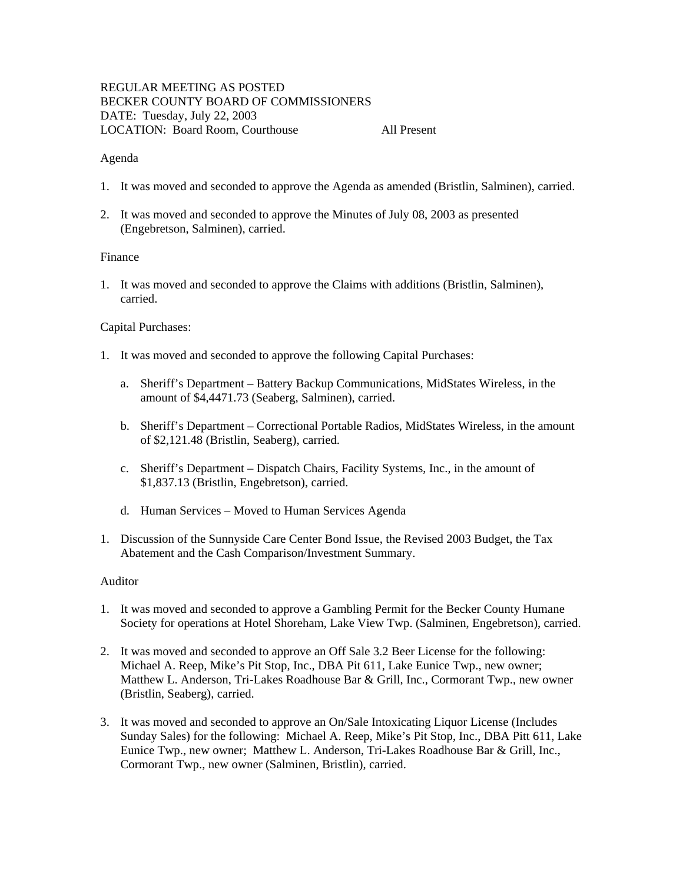# REGULAR MEETING AS POSTED BECKER COUNTY BOARD OF COMMISSIONERS DATE: Tuesday, July 22, 2003 LOCATION: Board Room, Courthouse All Present

### Agenda

- 1. It was moved and seconded to approve the Agenda as amended (Bristlin, Salminen), carried.
- 2. It was moved and seconded to approve the Minutes of July 08, 2003 as presented (Engebretson, Salminen), carried.

# Finance

1. It was moved and seconded to approve the Claims with additions (Bristlin, Salminen), carried.

### Capital Purchases:

- 1. It was moved and seconded to approve the following Capital Purchases:
	- a. Sheriff's Department Battery Backup Communications, MidStates Wireless, in the amount of \$4,4471.73 (Seaberg, Salminen), carried.
	- b. Sheriff's Department Correctional Portable Radios, MidStates Wireless, in the amount of \$2,121.48 (Bristlin, Seaberg), carried.
	- c. Sheriff's Department Dispatch Chairs, Facility Systems, Inc., in the amount of \$1,837.13 (Bristlin, Engebretson), carried.
	- d. Human Services Moved to Human Services Agenda
- 1. Discussion of the Sunnyside Care Center Bond Issue, the Revised 2003 Budget, the Tax Abatement and the Cash Comparison/Investment Summary.

#### Auditor

- 1. It was moved and seconded to approve a Gambling Permit for the Becker County Humane Society for operations at Hotel Shoreham, Lake View Twp. (Salminen, Engebretson), carried.
- 2. It was moved and seconded to approve an Off Sale 3.2 Beer License for the following: Michael A. Reep, Mike's Pit Stop, Inc., DBA Pit 611, Lake Eunice Twp., new owner; Matthew L. Anderson, Tri-Lakes Roadhouse Bar & Grill, Inc., Cormorant Twp., new owner (Bristlin, Seaberg), carried.
- 3. It was moved and seconded to approve an On/Sale Intoxicating Liquor License (Includes Sunday Sales) for the following: Michael A. Reep, Mike's Pit Stop, Inc., DBA Pitt 611, Lake Eunice Twp., new owner; Matthew L. Anderson, Tri-Lakes Roadhouse Bar & Grill, Inc., Cormorant Twp., new owner (Salminen, Bristlin), carried.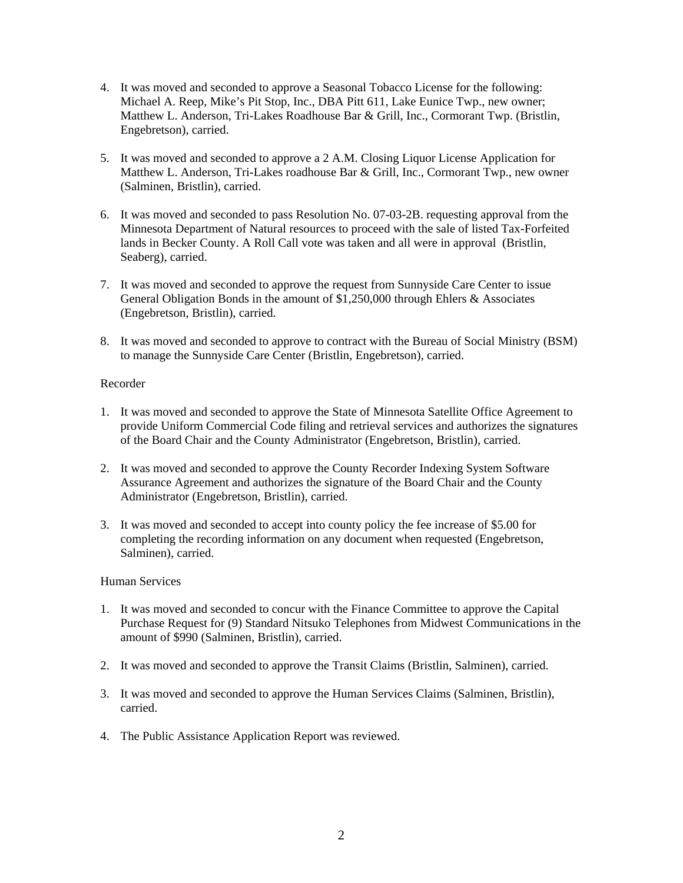- 4. It was moved and seconded to approve a Seasonal Tobacco License for the following: Michael A. Reep, Mike's Pit Stop, Inc., DBA Pitt 611, Lake Eunice Twp., new owner; Matthew L. Anderson, Tri-Lakes Roadhouse Bar & Grill, Inc., Cormorant Twp. (Bristlin, Engebretson), carried.
- 5. It was moved and seconded to approve a 2 A.M. Closing Liquor License Application for Matthew L. Anderson, Tri-Lakes roadhouse Bar & Grill, Inc., Cormorant Twp., new owner (Salminen, Bristlin), carried.
- 6. It was moved and seconded to pass Resolution No. 07-03-2B. requesting approval from the Minnesota Department of Natural resources to proceed with the sale of listed Tax-Forfeited lands in Becker County. A Roll Call vote was taken and all were in approval (Bristlin, Seaberg), carried.
- 7. It was moved and seconded to approve the request from Sunnyside Care Center to issue General Obligation Bonds in the amount of \$1,250,000 through Ehlers & Associates (Engebretson, Bristlin), carried.
- 8. It was moved and seconded to approve to contract with the Bureau of Social Ministry (BSM) to manage the Sunnyside Care Center (Bristlin, Engebretson), carried.

# Recorder

- 1. It was moved and seconded to approve the State of Minnesota Satellite Office Agreement to provide Uniform Commercial Code filing and retrieval services and authorizes the signatures of the Board Chair and the County Administrator (Engebretson, Bristlin), carried.
- 2. It was moved and seconded to approve the County Recorder Indexing System Software Assurance Agreement and authorizes the signature of the Board Chair and the County Administrator (Engebretson, Bristlin), carried.
- 3. It was moved and seconded to accept into county policy the fee increase of \$5.00 for completing the recording information on any document when requested (Engebretson, Salminen), carried.

#### Human Services

- 1. It was moved and seconded to concur with the Finance Committee to approve the Capital Purchase Request for (9) Standard Nitsuko Telephones from Midwest Communications in the amount of \$990 (Salminen, Bristlin), carried.
- 2. It was moved and seconded to approve the Transit Claims (Bristlin, Salminen), carried.
- 3. It was moved and seconded to approve the Human Services Claims (Salminen, Bristlin), carried.
- 4. The Public Assistance Application Report was reviewed.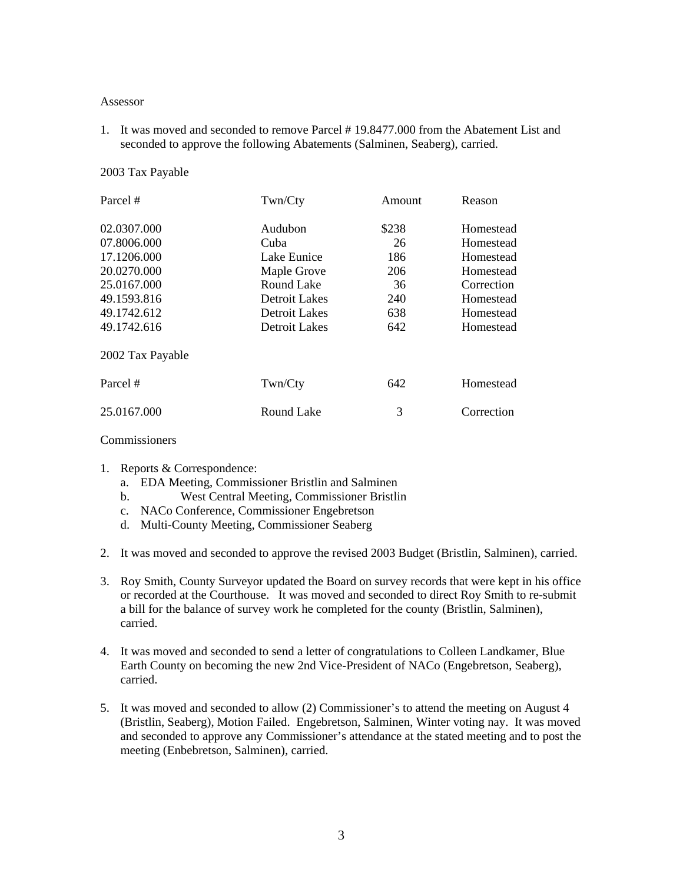#### Assessor

1. It was moved and seconded to remove Parcel # 19.8477.000 from the Abatement List and seconded to approve the following Abatements (Salminen, Seaberg), carried.

## 2003 Tax Payable

| Parcel #         | Twn/Cty       | Amount | Reason     |
|------------------|---------------|--------|------------|
| 02.0307.000      | Audubon       | \$238  | Homestead  |
| 07.8006.000      | Cuba          | 26     | Homestead  |
| 17.1206.000      | Lake Eunice   | 186    | Homestead  |
| 20.0270.000      | Maple Grove   | 206    | Homestead  |
| 25.0167.000      | Round Lake    | 36     | Correction |
| 49.1593.816      | Detroit Lakes | 240    | Homestead  |
| 49.1742.612      | Detroit Lakes | 638    | Homestead  |
| 49.1742.616      | Detroit Lakes | 642    | Homestead  |
| 2002 Tax Payable |               |        |            |
| Parcel #         | Twn/Cty       | 642    | Homestead  |
| 25.0167.000      | Round Lake    | 3      | Correction |

Commissioners

- 1. Reports & Correspondence:
	- a. EDA Meeting, Commissioner Bristlin and Salminen
	- b. West Central Meeting, Commissioner Bristlin
	- c. NACo Conference, Commissioner Engebretson
	- d. Multi-County Meeting, Commissioner Seaberg
- 2. It was moved and seconded to approve the revised 2003 Budget (Bristlin, Salminen), carried.
- 3. Roy Smith, County Surveyor updated the Board on survey records that were kept in his office or recorded at the Courthouse. It was moved and seconded to direct Roy Smith to re-submit a bill for the balance of survey work he completed for the county (Bristlin, Salminen), carried.
- 4. It was moved and seconded to send a letter of congratulations to Colleen Landkamer, Blue Earth County on becoming the new 2nd Vice-President of NACo (Engebretson, Seaberg), carried.
- 5. It was moved and seconded to allow (2) Commissioner's to attend the meeting on August 4 (Bristlin, Seaberg), Motion Failed. Engebretson, Salminen, Winter voting nay. It was moved and seconded to approve any Commissioner's attendance at the stated meeting and to post the meeting (Enbebretson, Salminen), carried.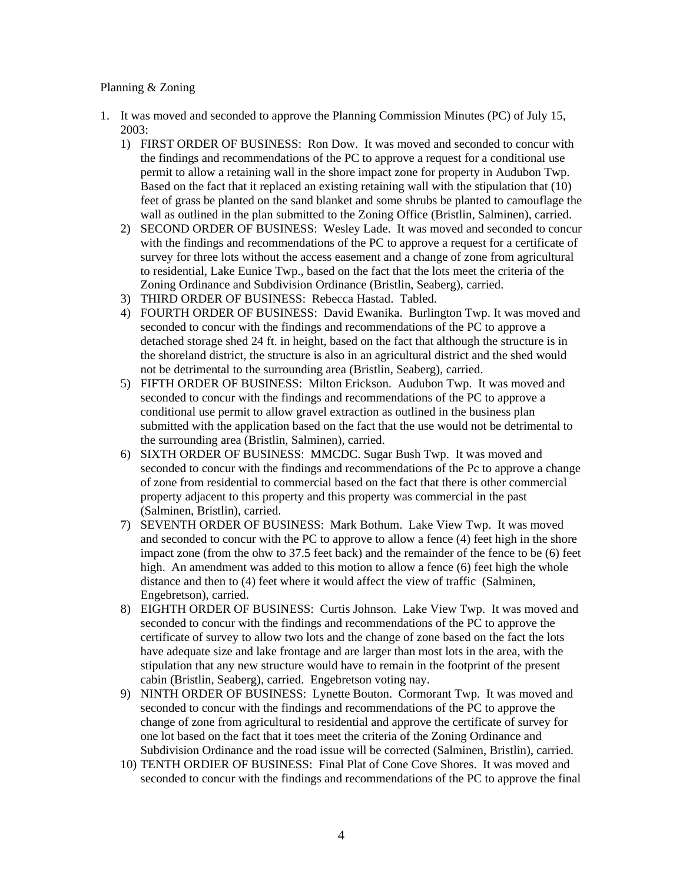## Planning & Zoning

- 1. It was moved and seconded to approve the Planning Commission Minutes (PC) of July 15, 2003:
	- 1) FIRST ORDER OF BUSINESS: Ron Dow. It was moved and seconded to concur with the findings and recommendations of the PC to approve a request for a conditional use permit to allow a retaining wall in the shore impact zone for property in Audubon Twp. Based on the fact that it replaced an existing retaining wall with the stipulation that (10) feet of grass be planted on the sand blanket and some shrubs be planted to camouflage the wall as outlined in the plan submitted to the Zoning Office (Bristlin, Salminen), carried.
	- 2) SECOND ORDER OF BUSINESS: Wesley Lade. It was moved and seconded to concur with the findings and recommendations of the PC to approve a request for a certificate of survey for three lots without the access easement and a change of zone from agricultural to residential, Lake Eunice Twp., based on the fact that the lots meet the criteria of the Zoning Ordinance and Subdivision Ordinance (Bristlin, Seaberg), carried.
	- 3) THIRD ORDER OF BUSINESS: Rebecca Hastad. Tabled.
	- 4) FOURTH ORDER OF BUSINESS: David Ewanika. Burlington Twp. It was moved and seconded to concur with the findings and recommendations of the PC to approve a detached storage shed 24 ft. in height, based on the fact that although the structure is in the shoreland district, the structure is also in an agricultural district and the shed would not be detrimental to the surrounding area (Bristlin, Seaberg), carried.
	- 5) FIFTH ORDER OF BUSINESS: Milton Erickson. Audubon Twp. It was moved and seconded to concur with the findings and recommendations of the PC to approve a conditional use permit to allow gravel extraction as outlined in the business plan submitted with the application based on the fact that the use would not be detrimental to the surrounding area (Bristlin, Salminen), carried.
	- 6) SIXTH ORDER OF BUSINESS: MMCDC. Sugar Bush Twp. It was moved and seconded to concur with the findings and recommendations of the Pc to approve a change of zone from residential to commercial based on the fact that there is other commercial property adjacent to this property and this property was commercial in the past (Salminen, Bristlin), carried.
	- 7) SEVENTH ORDER OF BUSINESS: Mark Bothum. Lake View Twp. It was moved and seconded to concur with the PC to approve to allow a fence (4) feet high in the shore impact zone (from the ohw to 37.5 feet back) and the remainder of the fence to be (6) feet high. An amendment was added to this motion to allow a fence (6) feet high the whole distance and then to (4) feet where it would affect the view of traffic (Salminen, Engebretson), carried.
	- 8) EIGHTH ORDER OF BUSINESS: Curtis Johnson. Lake View Twp. It was moved and seconded to concur with the findings and recommendations of the PC to approve the certificate of survey to allow two lots and the change of zone based on the fact the lots have adequate size and lake frontage and are larger than most lots in the area, with the stipulation that any new structure would have to remain in the footprint of the present cabin (Bristlin, Seaberg), carried. Engebretson voting nay.
	- 9) NINTH ORDER OF BUSINESS: Lynette Bouton. Cormorant Twp. It was moved and seconded to concur with the findings and recommendations of the PC to approve the change of zone from agricultural to residential and approve the certificate of survey for one lot based on the fact that it toes meet the criteria of the Zoning Ordinance and Subdivision Ordinance and the road issue will be corrected (Salminen, Bristlin), carried.
	- 10) TENTH ORDIER OF BUSINESS: Final Plat of Cone Cove Shores. It was moved and seconded to concur with the findings and recommendations of the PC to approve the final